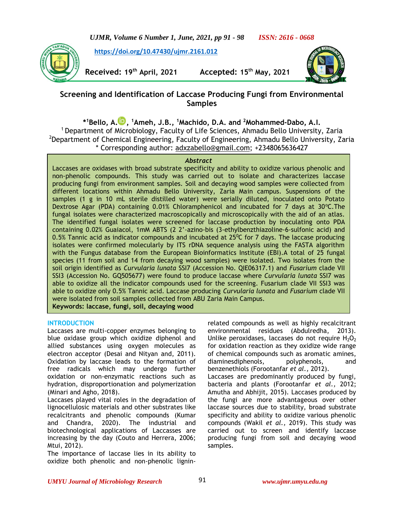*UJMR, Volume 6 Number 1, June, 2021, pp 91 - 98 ISSN: 2616 - 0668*

**<https://doi.org/10.47430/ujmr.2161.012>**

**Received: 19th April, 2021 Accepted: 15th May, 2021**



# **Screening and Identification of Laccase Producing Fungi from Environmental Samples**

**\* <sup>1</sup>Bello, A[.](https://orcid.org/0000-0002-6491-7403) , <sup>1</sup>Ameh, J.B., <sup>1</sup>Machido, D.A. and <sup>2</sup>Mohammed-Dabo, A.I.**

<sup>1</sup> Department of Microbiology, Faculty of Life Sciences, Ahmadu Bello University, Zaria <sup>2</sup>Department of Chemical Engineering, Faculty of Engineering, Ahmadu Bello University, Zaria \* Corresponding author: [adxzabello@gmail.com;](mailto:adxzabello@gmail.com) +2348065636427

### *Abstract*

Laccases are oxidases with broad substrate specificity and ability to oxidize various phenolic and non-phenolic compounds. This study was carried out to isolate and characterizes laccase producing fungi from environment samples. Soil and decaying wood samples were collected from different locations within Ahmadu Bello University, Zaria Main campus. Suspensions of the samples (1 g in 10 mL sterile distilled water) were serially diluted, inoculated onto Potato Dextrose Agar (PDA) containing 0.01% Chloramphenicol and incubated for 7 days at 30°C. The fungal isolates were characterized macroscopically and microscopically with the aid of an atlas. The identified fungal isolates were screened for laccase production by inoculating onto PDA containing 0.02% Guaiacol, 1mM ABTS (2 2'-azino-bis (3-ethylbenzthiazoline-6-sulfonic acid) and 0.5% Tannic acid as indicator compounds and incubated at  $25^{\circ}$ C for 7 days. The laccase producing isolates were confirmed molecularly by ITS rDNA sequence analysis using the FASTA algorithm with the Fungus database from the European Bioinformatics Institute (EBI).A total of 25 fungal species (11 from soil and 14 from decaying wood samples) were isolated. Two isolates from the soil origin identified as *Curvularia lunata* SSI7 (Accession No. QIE06317.1) and *Fusarium* clade VII SSI3 (Accession No. GQ505677) were found to produce laccase where *Curvularia lunata* SSI7 was able to oxidize all the indicator compounds used for the screening. Fusarium clade VII SSI3 was able to oxidize only 0.5% Tannic acid. Laccase producing *Curvularia lunata* and *Fusarium* clade VII were isolated from soil samples collected from ABU Zaria Main Campus. **Keywords: laccase, fungi, soil, decaying wood**

## **INTRODUCTION**

Laccases are multi-copper enzymes belonging to blue oxidase group which oxidize diphenol and allied substances using oxygen molecules as electron acceptor (Desai and Nityan and, 2011). Oxidation by laccase leads to the formation of free radicals which may undergo further oxidation or non-enzymatic reactions such as hydration, disproportionation and polymerization (Minari and Agho, 2018).

Laccases played vital roles in the degradation of lignocellulosic materials and other substrates like recalcitrants and phenolic compounds (Kumar and Chandra, 2020). The industrial and biotechnological applications of Laccasses are increasing by the day (Couto and Herrera, 2006; Mtui, 2012).

The importance of laccase lies in its ability to oxidize both phenolic and non-phenolic ligninrelated compounds as well as highly recalcitrant environmental residues (Abdulredha, 2013). Unlike peroxidases, laccases do not require  $H_2O_2$ for oxidation reaction as they oxidize wide range of chemical compounds such as aromatic amines, diaminesdiphenols, polyphenols, and benzenethiols (Forootanfar *et al.,* 2012). Laccases are predominantly produced by fungi, bacteria and plants (Forootanfar *et al.,* 2012; Amutha and Abhijit, 2015). Laccases produced by the fungi are more advantageous over other laccase sources due to stability, broad substrate specificity and ability to oxidize various phenolic compounds (Wakil *et al.,* 2019). This study was carried out to screen and identify laccase producing fungi from soil and decaying wood samples.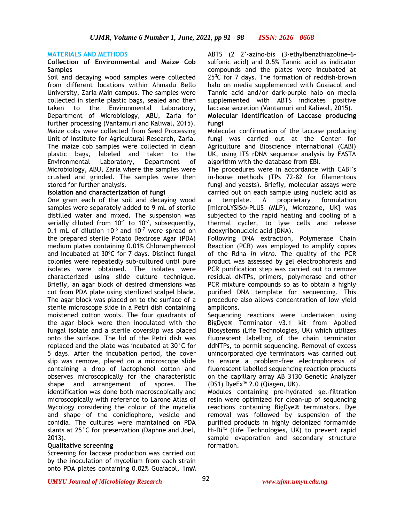#### **MATERIALS AND METHODS**

## **Collection of Environmental and Maize Cob Samples**

Soil and decaying wood samples were collected from different locations within Ahmadu Bello University, Zaria Main campus. The samples were collected in sterile plastic bags, sealed and then taken to the Environmental Laboratory, Department of Microbiology, ABU, Zaria for further processing (Vantamuri and Kaliwal*,* 2015). Maize cobs were collected from Seed Processing Unit of Institute for Agricultural Research, Zaria. The maize cob samples were collected in clean plastic bags, labeled and taken to the Environmental Laboratory, Department of Microbiology, ABU, Zaria where the samples were crushed and grinded. The samples were then stored for further analysis.

### **Isolation and characterization of fungi**

One gram each of the soil and decaying wood samples were separately added to 9 mL of sterile distilled water and mixed. The suspension was serially diluted from  $10^{-1}$  to  $10^{-7}$ , subsequently, 0.1 mL of dilution  $10^{-6}$  and  $10^{-7}$  were spread on the prepared sterile Potato Dextrose Agar (PDA) medium plates containing 0.01% Chloramphenicol and incubated at 30°C for 7 days. Distinct fungal colonies were repeatedly sub-cultured until pure isolates were obtained. The isolates were characterized using slide culture technique. Briefly, an agar block of desired dimensions was cut from PDA plate using sterilized scalpel blade. The agar block was placed on to the surface of a sterile microscope slide in a Petri dish containing moistened cotton wools. The four quadrants of the agar block were then inoculated with the fungal isolate and a sterile coverslip was placed onto the surface. The lid of the Petri dish was replaced and the plate was incubated at 30°C for 5 days. After the incubation period, the cover slip was remove, placed on a microscope slide containing a drop of lactophenol cotton and observes microscopically for the characteristic shape and arrangement of spores. The identification was done both macroscopically and microscopically with reference to Larone Atlas of Mycology considering the colour of the mycelia and shape of the conidiophore, vesicle and conidia. The cultures were maintained on PDA slants at 25°C for preservation (Daphne and Joel, 2013).

#### **Qualitative screening**

Screening for laccase production was carried out by the inoculation of mycelium from each strain onto PDA plates containing 0.02% Guaiacol, 1mM ABTS (2 2'-azino-bis (3-ethylbenzthiazoline-6 sulfonic acid) and 0.5% Tannic acid as indicator compounds and the plates were incubated at  $25^{\circ}$ C for 7 days. The formation of reddish-brown halo on media supplemented with Guaiacol and Tannic acid and/or dark-purple halo on media supplemented with ABTS indicates positive laccase secretion (Vantamuri and Kaliwal*,* 2015). **Molecular identification of Laccase producing** 

## **fungi**

Molecular confirmation of the laccase producing fungi was carried out at the Center for Agriculture and Bioscience International (CABI) UK, using ITS rDNA sequence analysis by FASTA algorithm with the database from EBI.

The procedures were in accordance with CABI's in-house methods (TPs 72-82 for filamentous fungi and yeasts). Briefly, molecular assays were carried out on each sample using nucleic acid as a template. A proprietary formulation [microLYSIS®-PLUS (MLP), Microzone, UK] was subjected to the rapid heating and cooling of a thermal cycler, to lyse cells and release deoxyribonucleic acid (DNA).

Following DNA extraction, Polymerase Chain Reaction (PCR) was employed to amplify copies of the Rdna *in vitro*. The quality of the PCR product was assessed by gel electrophoresis and PCR purification step was carried out to remove residual dNTPs, primers, polymerase and other PCR mixture compounds so as to obtain a highly purified DNA template for sequencing. This procedure also allows concentration of low yield amplicons.

Sequencing reactions were undertaken using BigDye® Terminator v3.1 kit from Applied Biosystems (Life Technologies, UK) which utilizes fluorescent labelling of the chain terminator ddNTPs, to permit sequencing. Removal of excess unincorporated dye terminators was carried out to ensure a problem-free electrophoresis of fluorescent labelled sequencing reaction products on the capillary array AB 3130 Genetic Analyzer (DS1) DyeEx™ 2.0 (Qiagen, UK).

Modules containing pre-hydrated gel-filtration resin were optimized for clean-up of sequencing reactions containing BigDye® terminators. Dye removal was followed by suspension of the purified products in highly deionized formamide Hi-Di™ (Life Technologies, UK) to prevent rapid sample evaporation and secondary structure formation.

#### *UMYU Journal of Microbiology Research www.ujmr.umyu.edu.ng*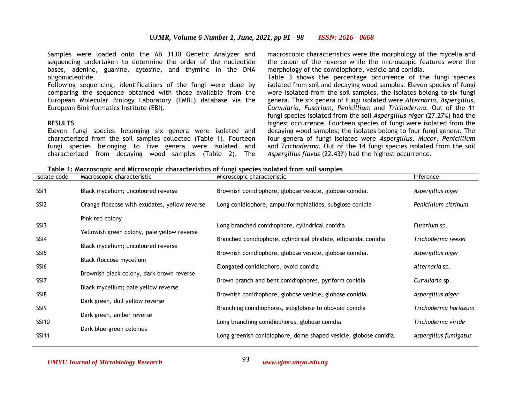Samples were loaded onto the AB 3130 Genetic Analyzer and sequencing undertaken to determine the order of the nucleotide bases, adenine, guanine, cytosine, and thymine in the DNA oligonucleotide.

Following sequencing, identifications of the fungi were done by comparing the sequence obtained with those available from the European Molecular Biology Laboratory (EMBL) database via the European Bioinformatics Institute (EBI).

### **RESULTS**

Eleven fungi species belonging six genera were isolated and characterized from the soil samples collected (Table 1). Fourteen fungi species belonging to five genera were isolated and characterized from decaying wood samples (Table 2). The macroscopic characteristics were the morphology of the mycelia and the colour of the reverse while the microscopic features were the morphology of the conidiophore, vesicle and conidia.

Table 3 shows the percentage occurrence of the fungi species isolated from soil and decaying wood samples. Eleven species of fungi were isolated from the soil samples, the isolates belong to six fungi genera. The six genera of fungi isolated were *Alternaria, Aspergillus, Curvularia, Fusarium, Penicillium* and *Trichoderma.* Out of the 11 fungi species isolated from the soil *Aspergillus niger* (27.27%) had the highest occurrence. Fourteen species of fungi were isolated from the decaying wood samples; the isolates belong to four fungi genera. The four genera of fungi isolated were *Aspergillus, Mucor, Penicillium* and *Trichoderma.* Out of the 14 fungi species isolated from the soil *Aspergillus flavus* (22.43%) had the highest occurrence.

|  |  | Table 1: Macroscopic and Microscopic characteristics of fungi species isolated from soil samples |
|--|--|--------------------------------------------------------------------------------------------------|
|  |  |                                                                                                  |

| Isolate code     | Macroscopic characteristic                    | Microscopic characteristic                                       | Inference             |
|------------------|-----------------------------------------------|------------------------------------------------------------------|-----------------------|
| SSI <sub>1</sub> | Black mycelium; uncoloured reverse            | Brownish conidiophore, globose vesicle, globose conidia.         | Aspergillus niger     |
| SSI <sub>2</sub> | Orange floccose with exudates, yellow reverse | Long conidiophore, ampuliformphialides, subglose conidia         | Penicillium citrinum  |
|                  | Pink red colony                               |                                                                  |                       |
| SSI3             | Yellowish green colony, pale yellow reverse   | Long branched conidiophore, cylindrical conidia                  | Fusarium sp.          |
| SSI4             |                                               | Branched conidiophore, cylindrical phialide, ellipsoidal conidia | Trichoderma reesei    |
|                  | Black mycelium; uncoloured reverse            |                                                                  |                       |
| SSI <sub>5</sub> | Black floccose mycelium                       | Brownish conidiophore, globose vesicle, globose conidia.         | Aspergillus niger     |
| SSI6             |                                               | Elongated conidiophore, ovoid conidia                            | Alternaria sp.        |
| SSI <sub>7</sub> | Brownish black colony, dark brown reverse     | Brown branch and bent conidiophores, pyriform conidia            | Curvularia sp.        |
|                  | Black mycelium; pale yellow reverse           |                                                                  |                       |
| SSI8             | Dark green, dull yellow reverse               | Brownish conidiophore, globose vesicle, globose conidia.         | Aspergillus niger     |
| SSI9             |                                               | Branching conidiophores, subglobose to obovoid conidia           | Trichoderma hariazum  |
| <b>SSI10</b>     | Dark green, amber reverse                     | Long branching conidiophores, globose conidia                    | Trichoderma viride    |
|                  | Dark blue-green colonies                      |                                                                  |                       |
| <b>SSI11</b>     |                                               | Long greenish conidiophore, dome shaped vesicle, globose conidia | Aspergillus fumigatus |

93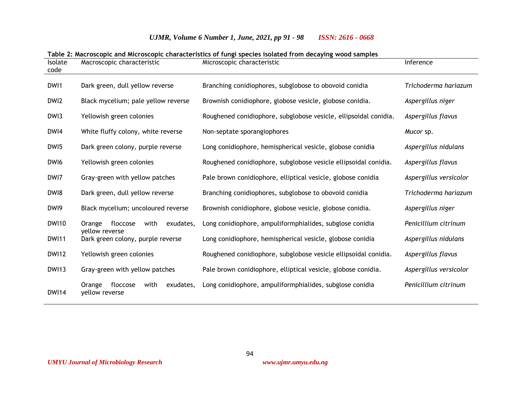| Table 2: Macroscopic and Microscopic characteristics of fungi species isolated from decaying wood samples |                                                           |                                                                  |                        |  |
|-----------------------------------------------------------------------------------------------------------|-----------------------------------------------------------|------------------------------------------------------------------|------------------------|--|
| <b>Isolate</b><br>code                                                                                    | Macroscopic characteristic                                | Microscopic characteristic                                       | Inference              |  |
| DW <sub>1</sub>                                                                                           | Dark green, dull yellow reverse                           | Branching conidiophores, subglobose to obovoid conidia           | Trichoderma hariazum   |  |
| DWI2                                                                                                      | Black mycelium; pale yellow reverse                       | Brownish conidiophore, globose vesicle, globose conidia.         | Aspergillus niger      |  |
| DWI3                                                                                                      | Yellowish green colonies                                  | Roughened conidiophore, subglobose vesicle, ellipsoidal conidia. | Aspergillus flavus     |  |
| DWI4                                                                                                      | White fluffy colony, white reverse                        | Non-septate sporangiophores                                      | Mucor sp.              |  |
| DW <sub>15</sub>                                                                                          | Dark green colony, purple reverse                         | Long conidiophore, hemispherical vesicle, globose conidia        | Aspergillus nidulans   |  |
| DWI6                                                                                                      | Yellowish green colonies                                  | Roughened conidiophore, subglobose vesicle ellipsoidal conidia.  | Aspergillus flavus     |  |
| DWI7                                                                                                      | Gray-green with yellow patches                            | Pale brown conidiophore, elliptical vesicle, globose conidia     | Aspergillus versicolor |  |
| DW <sub>18</sub>                                                                                          | Dark green, dull yellow reverse                           | Branching conidiophores, subglobose to obovoid conidia           | Trichoderma hariazum   |  |
| DWI9                                                                                                      | Black mycelium; uncoloured reverse                        | Brownish conidiophore, globose vesicle, globose conidia.         | Aspergillus niger      |  |
| <b>DWI10</b>                                                                                              | exudates,<br>floccose<br>with<br>Orange                   | Long conidiophore, ampuliformphialides, subglose conidia         | Penicillium citrinum   |  |
| <b>DWI11</b>                                                                                              | yellow reverse<br>Dark green colony, purple reverse       | Long conidiophore, hemispherical vesicle, globose conidia        | Aspergillus nidulans   |  |
| <b>DWI12</b>                                                                                              | Yellowish green colonies                                  | Roughened conidiophore, subglobose vesicle ellipsoidal conidia.  | Aspergillus flavus     |  |
| <b>DWI13</b>                                                                                              | Gray-green with yellow patches                            | Pale brown conidiophore, elliptical vesicle, globose conidia.    | Aspergillus versicolor |  |
| <b>DWI14</b>                                                                                              | with<br>exudates,<br>Orange<br>floccose<br>yellow reverse | Long conidiophore, ampuliformphialides, subglose conidia         | Penicillium citrinum   |  |

# *UJMR, Volume 6 Number 1, June, 2021, pp 91 - 98 ISSN: 2616 - 0668*

94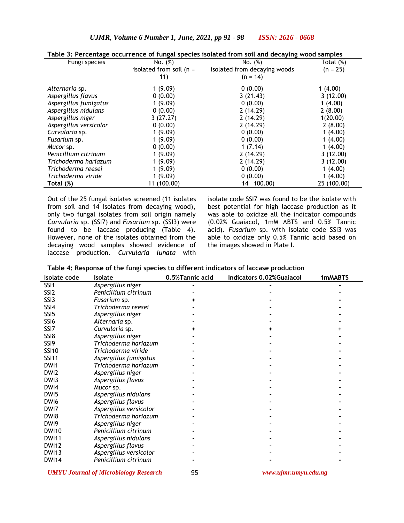## *UJMR, Volume 6 Number 1, June, 2021, pp 91 - 98 ISSN: 2616 - 0668*

| rapic 5, i creeniuge oceanience or rangar species isolated from soil and decaying wood samples. |                           |                              |              |  |  |
|-------------------------------------------------------------------------------------------------|---------------------------|------------------------------|--------------|--|--|
| Fungi species                                                                                   | No. (%)                   | No. (%)                      | Total $(\%)$ |  |  |
|                                                                                                 | isolated from soil $(n =$ | isolated from decaying woods | $(n = 25)$   |  |  |
|                                                                                                 | 11)                       | $(n = 14)$                   |              |  |  |
| Alternaria sp.                                                                                  | 1(9.09)                   | 0(0.00)                      | 1(4.00)      |  |  |
| Aspergillus flavus                                                                              | 0(0.00)                   | 3(21.43)                     | 3(12.00)     |  |  |
| Aspergillus fumigatus                                                                           | 1(9.09)                   | 0(0.00)                      | 1(4.00)      |  |  |
| Aspergillus nidulans                                                                            | 0(0.00)                   | 2(14.29)                     | 2(8.00)      |  |  |
| Aspergillus niger                                                                               | 3(27.27)                  | 2(14.29)                     | 1(20.00)     |  |  |
| Aspergillus versicolor                                                                          | 0(0.00)                   | 2(14.29)                     | 2(8.00)      |  |  |
| Curvularia sp.                                                                                  | 1(9.09)                   | 0(0.00)                      | 1(4.00)      |  |  |
| Fusarium sp.                                                                                    | 1(9.09)                   | 0(0.00)                      | 1(4.00)      |  |  |
| Mucor sp.                                                                                       | 0(0.00)                   | 1(7.14)                      | 1(4.00)      |  |  |
| Penicillium citrinum                                                                            | 1(9.09)                   | 2(14.29)                     | 3(12.00)     |  |  |
| Trichoderma hariazum                                                                            | 1(9.09)                   | 2(14.29)                     | 3(12.00)     |  |  |
| Trichoderma reesei                                                                              | 1(9.09)                   | 0(0.00)                      | 1(4.00)      |  |  |
| Trichoderma viride                                                                              | 1(9.09)                   | 0(0.00)                      | 1(4.00)      |  |  |
| Total (%)                                                                                       | 11 (100.00)               | 14 100.00)                   | 25 (100.00)  |  |  |

**Table 3: Percentage occurrence of fungal species isolated from soil and decaying wood samples**

Out of the 25 fungal isolates screened (11 isolates from soil and 14 isolates from decaying wood), only two fungal isolates from soil origin namely *Curvularia* sp. (SSI7) and *Fusarium* sp. (SSI3) were found to be laccase producing (Table 4). However, none of the isolates obtained from the decaying wood samples showed evidence of laccase production. *Curvularia lunata* with

isolate code SSI7 was found to be the isolate with best potential for high laccase production as it was able to oxidize all the indicator compounds (0.02% Guaiacol, 1mM ABTS and 0.5% Tannic acid). *Fusarium* sp. with isolate code SSI3 was able to oxidize only 0.5% Tannic acid based on the images showed in Plate I.

| Isolate code     | Isolate                | 0.5%Tannic acid | <b>Indicators 0.02%Guaiacol</b> | 1mMABTS |
|------------------|------------------------|-----------------|---------------------------------|---------|
| SSI <sub>1</sub> | Aspergillus niger      |                 |                                 |         |
| SSI <sub>2</sub> | Penicillium citrinum   |                 |                                 |         |
| SSI3             | Fusarium sp.           |                 |                                 |         |
| SSI4             | Trichoderma reesei     |                 |                                 |         |
| SSI <sub>5</sub> | Aspergillus niger      |                 |                                 |         |
| SSI6             | Alternaria sp.         |                 |                                 |         |
| SSI7             | Curvularia sp.         |                 |                                 |         |
| SSI8             | Aspergillus niger      |                 |                                 |         |
| SSI9             | Trichoderma hariazum   |                 |                                 |         |
| <b>SSI10</b>     | Trichoderma viride     |                 |                                 |         |
| <b>SSI11</b>     | Aspergillus fumigatus  |                 |                                 |         |
| DW <sub>1</sub>  | Trichoderma hariazum   |                 |                                 |         |
| DWI <sub>2</sub> | Aspergillus niger      |                 |                                 |         |
| DWI3             | Aspergillus flavus     |                 |                                 |         |
| DWI4             | Mucor sp.              |                 |                                 |         |
| DWI5             | Aspergillus nidulans   |                 |                                 |         |
| DWI <sub>6</sub> | Aspergillus flavus     |                 |                                 |         |
| DWI7             | Aspergillus versicolor |                 |                                 |         |
| DW <sub>18</sub> | Trichoderma hariazum   |                 |                                 |         |
| DWI9             | Aspergillus niger      |                 |                                 |         |
| <b>DWI10</b>     | Penicillium citrinum   |                 |                                 |         |
| <b>DWI11</b>     | Aspergillus nidulans   |                 |                                 |         |
| <b>DWI12</b>     | Aspergillus flavus     |                 |                                 |         |
| <b>DWI13</b>     | Aspergillus versicolor |                 |                                 |         |
| <b>DWI14</b>     | Penicillium citrinum   |                 |                                 |         |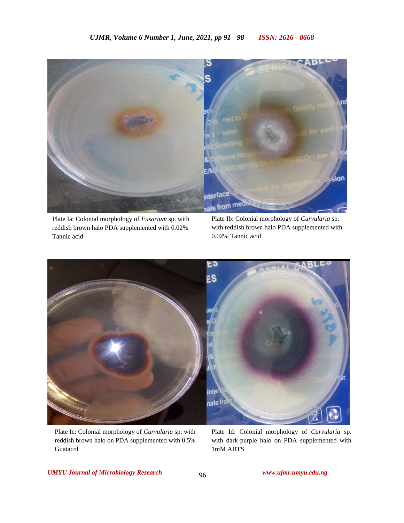

Plate Ia: Colonial morphology of *Fusarium* sp. with reddish brown halo PDA supplemented with 0.02% Tannic acid

Plate Ib: Colonial morphology of *Curvularia* sp. with reddish brown halo PDA supplemented with 0.02% Tannic acid



Plate Ic: Colonial morphology of *Curvularia* sp. with reddish brown halo on PDA supplemented with 0.5% Guaiacol

Plate Id: Colonial morphology of *Curvularia* sp. with dark-purple halo on PDA supplemented with 1mM ABTS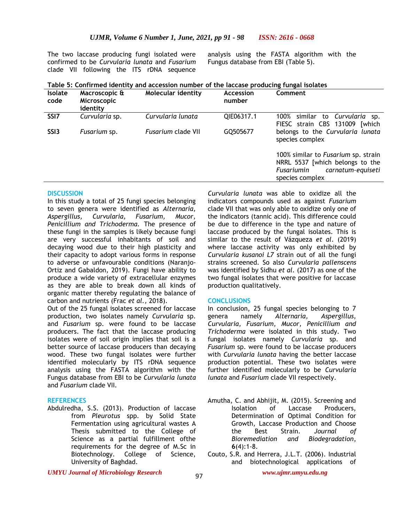The two laccase producing fungi isolated were confirmed to be *Curvularia lunata* and *Fusarium* clade VII following the ITS rDNA sequence

analysis using the FASTA algorithm with the Fungus database from EBI (Table 5).

| Table 5: Confirmed identity and accession number of the laccase producing fungal isolates |
|-------------------------------------------------------------------------------------------|
|-------------------------------------------------------------------------------------------|

| <b>Isolate</b><br>code | Macroscopic &<br><b>Microscopic</b><br>identity | Molecular identity        | Accession<br>number | Comment                                                                                                                      |
|------------------------|-------------------------------------------------|---------------------------|---------------------|------------------------------------------------------------------------------------------------------------------------------|
| SSI <sub>7</sub>       | Curvularia sp.                                  | Curvularia lunata         | QIE06317.1          | similar to Curvularia sp.<br>100%<br>FIESC strain CBS 131009<br><b>Twhich</b>                                                |
| SSI <sub>3</sub>       | Fusarium sp.                                    | <i>Fusarium</i> clade VII | GQ505677            | belongs to the Curvularia lunata<br>species complex                                                                          |
|                        |                                                 |                           |                     | 100% similar to Fusarium sp. strain<br>NRRL 5537 [which belongs to the<br>Fusariumin<br>carnatum-equiseti<br>species complex |

#### **DISCUSSION**

In this study a total of 25 fungi species belonging to seven genera were identified as *Alternaria, Aspergillus, Curvularia, Fusarium, Mucor, Penicillium and Trichoderma.* The presence of these fungi in the samples is likely because fungi are very successful inhabitants of soil and decaying wood due to their high plasticity and their capacity to adopt various forms in response to adverse or unfavourable conditions (Naranjo-Ortiz and Gabaldon, 2019). Fungi have ability to produce a wide variety of extracellular enzymes as they are able to break down all kinds of organic matter thereby regulating the balance of carbon and nutrients (Frac *et al.,* 2018).

Out of the 25 fungal isolates screened for laccase production, two isolates namely *Curvularia* sp. and *Fusarium* sp. were found to be laccase producers. The fact that the laccase producing isolates were of soil origin implies that soil is a better source of laccase producers than decaying wood. These two fungal isolates were further identified molecularly by ITS rDNA sequence analysis using the FASTA algorithm with the Fungus database from EBI to be *Curvularia lunata* and *Fusarium* clade VII*.* 

#### **REFERENCES**

Abdulredha, S.S. (2013). Production of laccase from *Pleurotus* spp. by Solid State Fermentation using agricultural wastes A Thesis submitted to the College of Science as a partial fulfillment ofthe requirements for the degree of M.Sc in Biotechnology. College of Science, University of Baghdad.

*Curvularia lunata* was able to oxidize all the indicators compounds used as against *Fusarium* clade VII that was only able to oxidize only one of the indicators (tannic acid). This difference could be due to difference in the type and nature of laccase produced by the fungal isolates. This is similar to the result of Vázqueza *et al*. (2019) where laccase activity was only exhibited by *Curvularia kusanoi L7* strain out of all the fungi strains screened. So also *Curvularia pallenscens* was identified by Sidhu *et al.* (2017) as one of the two fungal isolates that were positive for laccase production qualitatively.

#### **CONCLUSIONS**

In conclusion, 25 fungal species belonging to 7 genera namely *Alternaria, Aspergillus, Curvularia, Fusarium, Mucor, Penicillium and Trichoderma* were isolated in this study. Two fungal isolates namely *Curvularia* sp. and *Fusarium* sp. were found to be laccase producers with *Curvularia lunata* having the better laccase production potential. These two isolates were further identified molecularly to be *Curvularia lunata* and *Fusarium* clade VII respectively.

#### *UMYU Journal of Microbiology Research www.ujmr.umyu.edu.ng*

Amutha, C. and Abhijit, M. (2015). Screening and Isolation of Laccase Producers, Determination of Optimal Condition for Growth, Laccase Production and Choose the Best Strain. *Journal of Bioremediation and Biodegradation*, **6**(4):1-8.

Couto, S.R. and Herrera, J.L.T. (2006). Industrial and biotechnological applications of